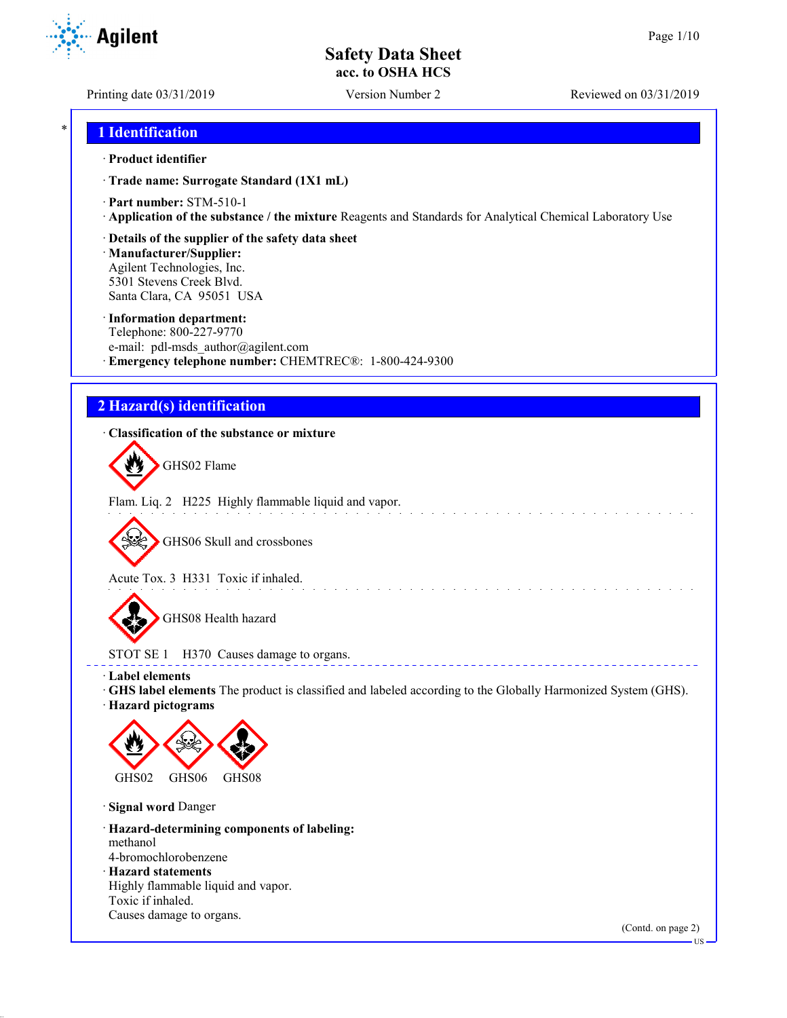**Agilent** 

Printing date 03/31/2019 Version Number 2 Reviewed on 03/31/2019

## \* **1 Identification**

### · **Product identifier**

· **Trade name: Surrogate Standard (1X1 mL)**

- · **Part number:** STM-510-1
- · **Application of the substance / the mixture** Reagents and Standards for Analytical Chemical Laboratory Use
- · **Details of the supplier of the safety data sheet**

· **Manufacturer/Supplier:** Agilent Technologies, Inc. 5301 Stevens Creek Blvd. Santa Clara, CA 95051 USA

### · **Information department:**

Telephone: 800-227-9770 e-mail: pdl-msds author@agilent.com · **Emergency telephone number:** CHEMTREC®: 1-800-424-9300

# **2 Hazard(s) identification**

### · **Classification of the substance or mixture**

GHS02 Flame

Flam. Liq. 2 H225 Highly flammable liquid and vapor.

GHS06 Skull and crossbones

Acute Tox. 3 H331 Toxic if inhaled.

GHS08 Health hazard

STOT SE 1 H370 Causes damage to organs.

· **Label elements**

· **GHS label elements** The product is classified and labeled according to the Globally Harmonized System (GHS).

and a straight and a straight

**ELECT** 

· **Hazard pictograms**



· **Signal word** Danger

· **Hazard-determining components of labeling:** methanol 4-bromochlorobenzene

· **Hazard statements**

Highly flammable liquid and vapor. Toxic if inhaled.

Causes damage to organs.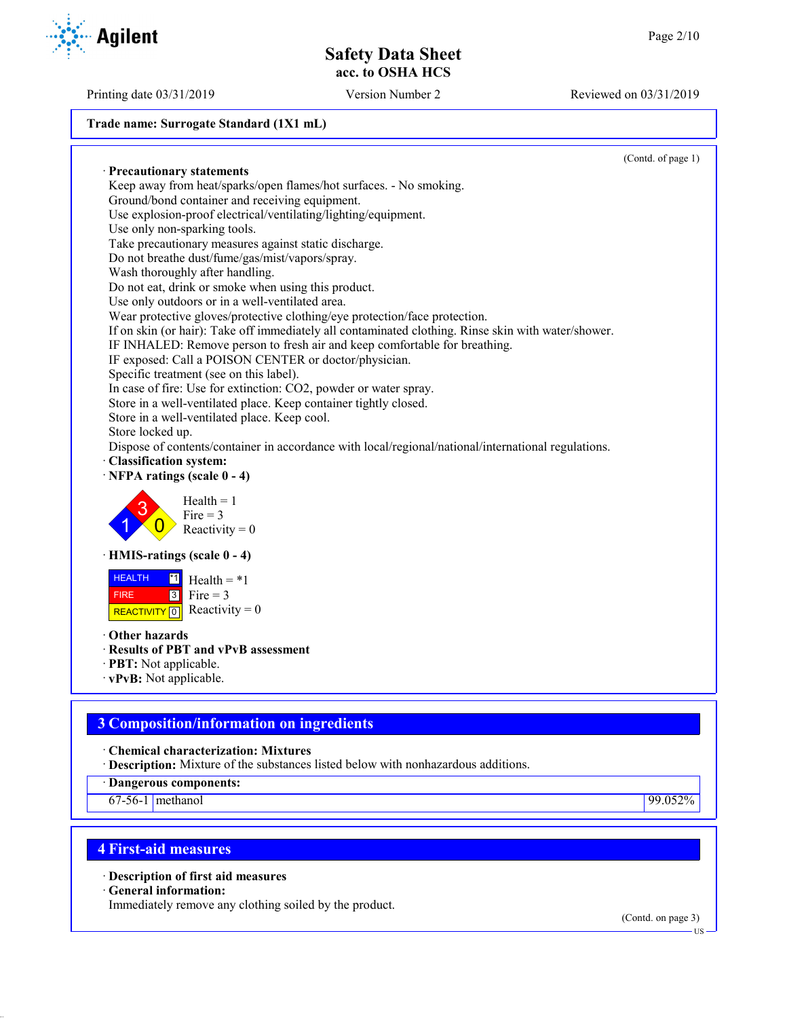### **Trade name: Surrogate Standard (1X1 mL)**

(Contd. of page 1) · **Precautionary statements** Keep away from heat/sparks/open flames/hot surfaces. - No smoking. Ground/bond container and receiving equipment. Use explosion-proof electrical/ventilating/lighting/equipment. Use only non-sparking tools. Take precautionary measures against static discharge. Do not breathe dust/fume/gas/mist/vapors/spray. Wash thoroughly after handling. Do not eat, drink or smoke when using this product. Use only outdoors or in a well-ventilated area. Wear protective gloves/protective clothing/eye protection/face protection. If on skin (or hair): Take off immediately all contaminated clothing. Rinse skin with water/shower. IF INHALED: Remove person to fresh air and keep comfortable for breathing. IF exposed: Call a POISON CENTER or doctor/physician. Specific treatment (see on this label). In case of fire: Use for extinction: CO2, powder or water spray. Store in a well-ventilated place. Keep container tightly closed. Store in a well-ventilated place. Keep cool. Store locked up. Dispose of contents/container in accordance with local/regional/national/international regulations. · **Classification system:** · **NFPA ratings (scale 0 - 4)** 1 3  $\overline{0}$  $Health = 1$  $Fire = 3$ Reactivity  $= 0$ · **HMIS-ratings (scale 0 - 4)** HEALTH FIRE REACTIVITY  $\boxed{0}$  Reactivity = 0  $\overline{1}$  Health = \*1  $3$  Fire = 3 · **Other hazards**

- · **Results of PBT and vPvB assessment**
- · **PBT:** Not applicable.
- · **vPvB:** Not applicable.

# **3 Composition/information on ingredients**

· **Chemical characterization: Mixtures**

· **Description:** Mixture of the substances listed below with nonhazardous additions.

· **Dangerous components:**

67-56-1 methanol 99.052%

## **4 First-aid measures**

· **Description of first aid measures**

· **General information:**

Immediately remove any clothing soiled by the product.

(Contd. on page 3)

US

Printing date 03/31/2019 Version Number 2 Reviewed on 03/31/2019

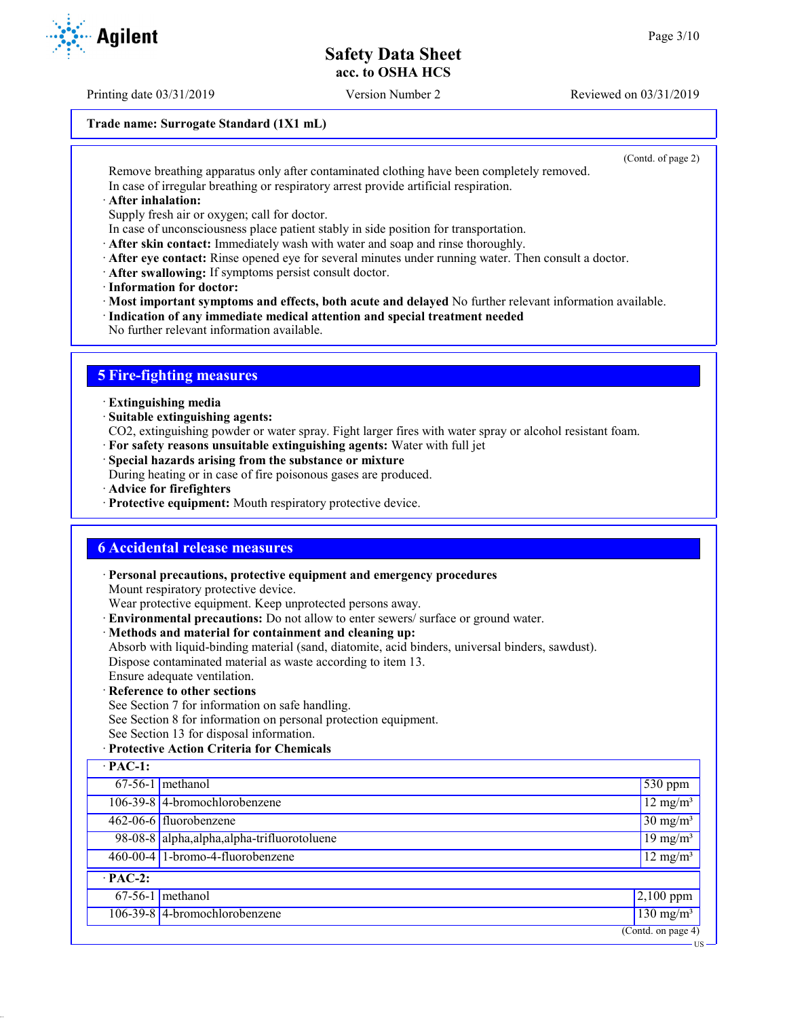Printing date 03/31/2019 Version Number 2 Reviewed on 03/31/2019

### **Trade name: Surrogate Standard (1X1 mL)**

(Contd. of page 2)

US

Remove breathing apparatus only after contaminated clothing have been completely removed. In case of irregular breathing or respiratory arrest provide artificial respiration.

· **After inhalation:**

Supply fresh air or oxygen; call for doctor.

- In case of unconsciousness place patient stably in side position for transportation.
- · **After skin contact:** Immediately wash with water and soap and rinse thoroughly.
- · **After eye contact:** Rinse opened eye for several minutes under running water. Then consult a doctor.
- · **After swallowing:** If symptoms persist consult doctor.
- · **Information for doctor:**

· **Most important symptoms and effects, both acute and delayed** No further relevant information available.

- · **Indication of any immediate medical attention and special treatment needed**
- No further relevant information available.

## **5 Fire-fighting measures**

- · **Extinguishing media**
- · **Suitable extinguishing agents:**
- CO2, extinguishing powder or water spray. Fight larger fires with water spray or alcohol resistant foam.
- · **For safety reasons unsuitable extinguishing agents:** Water with full jet
- · **Special hazards arising from the substance or mixture**

During heating or in case of fire poisonous gases are produced.

- · **Advice for firefighters**
- · **Protective equipment:** Mouth respiratory protective device.

### **6 Accidental release measures**

· **Personal precautions, protective equipment and emergency procedures**

Mount respiratory protective device.

Wear protective equipment. Keep unprotected persons away.

- · **Environmental precautions:** Do not allow to enter sewers/ surface or ground water.
- · **Methods and material for containment and cleaning up:**

Absorb with liquid-binding material (sand, diatomite, acid binders, universal binders, sawdust). Dispose contaminated material as waste according to item 13.

- Ensure adequate ventilation.
- · **Reference to other sections**

See Section 7 for information on safe handling.

See Section 8 for information on personal protection equipment.

- See Section 13 for disposal information.
- · **Protective Action Criteria for Chemicals**

| $\cdot$ PAC-1: |                                              |                                        |
|----------------|----------------------------------------------|----------------------------------------|
|                | $67-56-1$ methanol                           | $1530$ ppm                             |
|                | 106-39-8 4-bromochlorobenzene                | $12 \text{ mg/m}^3$                    |
|                | 462-06-6 fluorobenzene                       | $30 \text{ mg/m}^3$                    |
|                | 98-08-8 alpha, alpha, alpha-trifluorotoluene | $19 \text{ mg/m}^3$                    |
|                | 460-00-4 1-bromo-4-fluorobenzene             | $12 \text{ mg/m}^3$                    |
| $\cdot$ PAC-2: |                                              |                                        |
|                | $67-56-1$ methanol                           | $2,100$ ppm                            |
|                | 106-39-8 4-bromochlorobenzene                | $\frac{130 \text{ mg}}{\text{m}}$      |
|                |                                              | $\overline{(\text{Contd. on page 4})}$ |

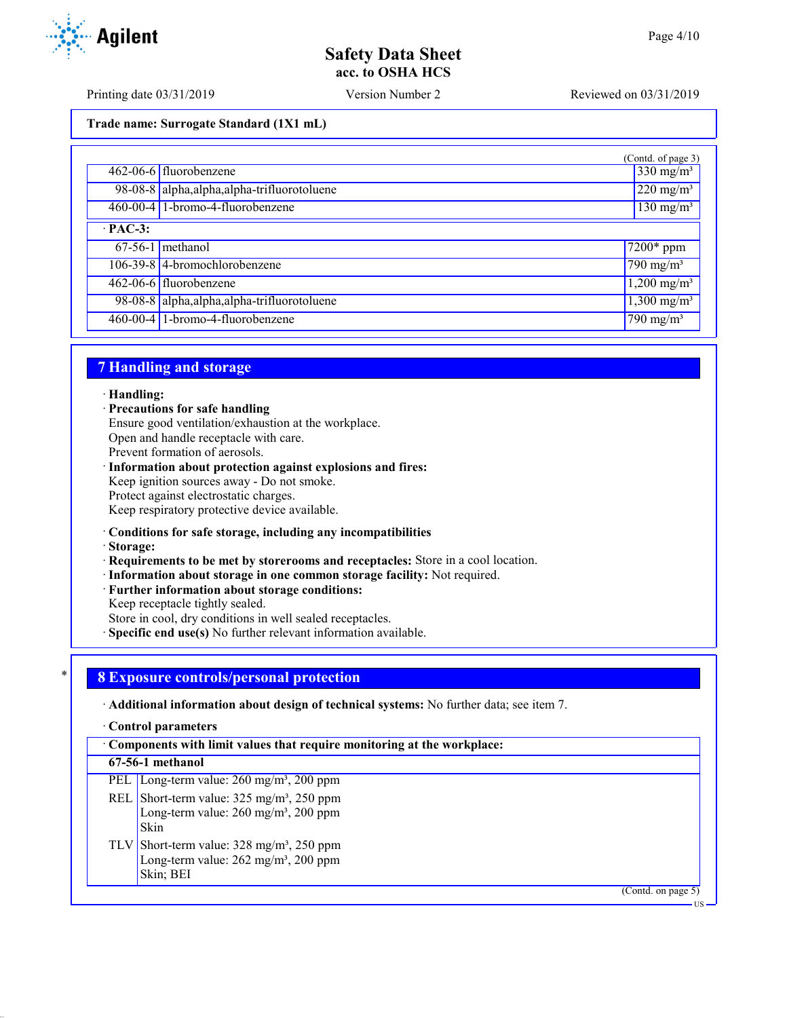Printing date 03/31/2019 Version Number 2 Reviewed on 03/31/2019

**Trade name: Surrogate Standard (1X1 mL)**

|                |                                              | (Contd. of page 3)             |
|----------------|----------------------------------------------|--------------------------------|
|                | 462-06-6 fluorobenzene                       | $330 \text{ mg/m}^3$           |
|                | 98-08-8 alpha, alpha, alpha-trifluorotoluene | $\sqrt{220}$ mg/m <sup>3</sup> |
|                | 460-00-4 1-bromo-4-fluorobenzene             | $\sqrt{130}$ mg/m <sup>3</sup> |
| $\cdot$ PAC-3: |                                              |                                |
|                | $67-56-1$ methanol                           | $\sqrt{7200}$ * ppm            |
|                | 106-39-8 4-bromochlorobenzene                | 790 mg/m <sup>3</sup>          |
|                | 462-06-6 fluorobenzene                       | $1,200 \text{ mg/m}^3$         |
|                | 98-08-8 alpha, alpha, alpha-trifluorotoluene | $1,300 \text{ mg/m}^3$         |
|                | 460-00-4 1-bromo-4-fluorobenzene             | $\sqrt{790}$ mg/m <sup>3</sup> |

## **7 Handling and storage**

### · **Handling:**

· **Precautions for safe handling**

Ensure good ventilation/exhaustion at the workplace.

Open and handle receptacle with care.

Prevent formation of aerosols.

### · **Information about protection against explosions and fires:**

Keep ignition sources away - Do not smoke.

Protect against electrostatic charges.

Keep respiratory protective device available.

### · **Conditions for safe storage, including any incompatibilities**

· **Storage:**

· **Requirements to be met by storerooms and receptacles:** Store in a cool location.

- · **Information about storage in one common storage facility:** Not required.
- · **Further information about storage conditions:**
- Keep receptacle tightly sealed.

Store in cool, dry conditions in well sealed receptacles.

· **Specific end use(s)** No further relevant information available.

# \* **8 Exposure controls/personal protection**

· **Additional information about design of technical systems:** No further data; see item 7.

· **Control parameters**

· **Components with limit values that require monitoring at the workplace:**

**67-56-1 methanol**

PEL Long-term value: 260 mg/m<sup>3</sup>, 200 ppm

- REL Short-term value:  $325 \text{ mg/m}^3$ ,  $250 \text{ ppm}$ Long-term value: 260 mg/m<sup>3</sup>, 200 ppm Skin
- TLV Short-term value:  $328 \text{ mg/m}^3$ ,  $250 \text{ ppm}$ Long-term value:  $262$  mg/m<sup>3</sup>,  $200$  ppm Skin; BEI

(Contd. on page 5)

US

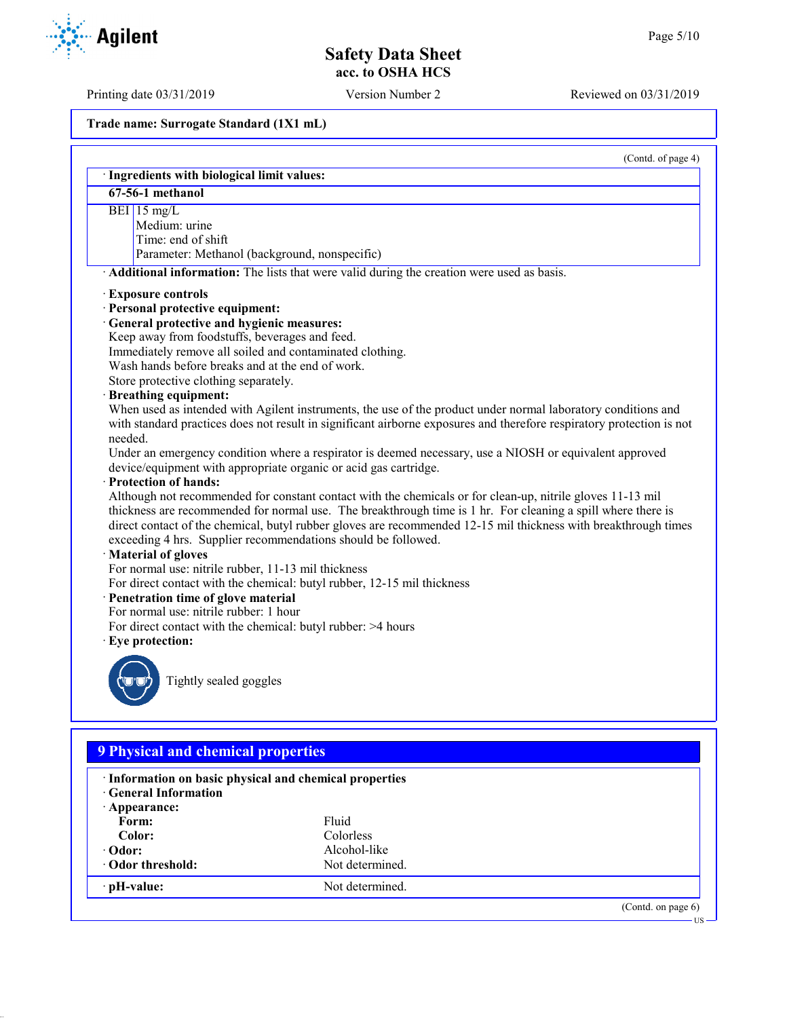Printing date 03/31/2019 Version Number 2 Reviewed on 03/31/2019

**Trade name: Surrogate Standard (1X1 mL)**

| $67-56-1$ methanol                                                                                                                                                                                                                                                                                                                                                                                                                     |
|----------------------------------------------------------------------------------------------------------------------------------------------------------------------------------------------------------------------------------------------------------------------------------------------------------------------------------------------------------------------------------------------------------------------------------------|
| BEI $15 \text{ mg/L}$                                                                                                                                                                                                                                                                                                                                                                                                                  |
| Medium: urine                                                                                                                                                                                                                                                                                                                                                                                                                          |
| Time: end of shift                                                                                                                                                                                                                                                                                                                                                                                                                     |
| Parameter: Methanol (background, nonspecific)                                                                                                                                                                                                                                                                                                                                                                                          |
| Additional information: The lists that were valid during the creation were used as basis.                                                                                                                                                                                                                                                                                                                                              |
| · Exposure controls                                                                                                                                                                                                                                                                                                                                                                                                                    |
| · Personal protective equipment:                                                                                                                                                                                                                                                                                                                                                                                                       |
| · General protective and hygienic measures:                                                                                                                                                                                                                                                                                                                                                                                            |
| Keep away from foodstuffs, beverages and feed.                                                                                                                                                                                                                                                                                                                                                                                         |
| Immediately remove all soiled and contaminated clothing.                                                                                                                                                                                                                                                                                                                                                                               |
| Wash hands before breaks and at the end of work.                                                                                                                                                                                                                                                                                                                                                                                       |
| Store protective clothing separately.                                                                                                                                                                                                                                                                                                                                                                                                  |
| · Breathing equipment:                                                                                                                                                                                                                                                                                                                                                                                                                 |
| When used as intended with Agilent instruments, the use of the product under normal laboratory conditions and<br>with standard practices does not result in significant airborne exposures and therefore respiratory protection is not<br>needed.                                                                                                                                                                                      |
| Under an emergency condition where a respirator is deemed necessary, use a NIOSH or equivalent approved                                                                                                                                                                                                                                                                                                                                |
| device/equipment with appropriate organic or acid gas cartridge.                                                                                                                                                                                                                                                                                                                                                                       |
| · Protection of hands:                                                                                                                                                                                                                                                                                                                                                                                                                 |
| Although not recommended for constant contact with the chemicals or for clean-up, nitrile gloves 11-13 mil<br>thickness are recommended for normal use. The breakthrough time is 1 hr. For cleaning a spill where there is<br>direct contact of the chemical, butyl rubber gloves are recommended 12-15 mil thickness with breakthrough times<br>exceeding 4 hrs. Supplier recommendations should be followed.<br>· Material of gloves |
| For normal use: nitrile rubber, 11-13 mil thickness                                                                                                                                                                                                                                                                                                                                                                                    |
| For direct contact with the chemical: butyl rubber, 12-15 mil thickness                                                                                                                                                                                                                                                                                                                                                                |
| · Penetration time of glove material                                                                                                                                                                                                                                                                                                                                                                                                   |
| For normal use: nitrile rubber: 1 hour                                                                                                                                                                                                                                                                                                                                                                                                 |
| For direct contact with the chemical: butyl rubber: >4 hours                                                                                                                                                                                                                                                                                                                                                                           |
| · Eye protection:                                                                                                                                                                                                                                                                                                                                                                                                                      |
|                                                                                                                                                                                                                                                                                                                                                                                                                                        |

| <b>9 Physical and chemical properties</b>               |                       |  |
|---------------------------------------------------------|-----------------------|--|
| · Information on basic physical and chemical properties |                       |  |
| Fluid                                                   |                       |  |
| Colorless                                               |                       |  |
| Alcohol-like                                            |                       |  |
| Not determined.                                         |                       |  |
| Not determined.                                         |                       |  |
|                                                         | (Contd. on page $6$ ) |  |
|                                                         |                       |  |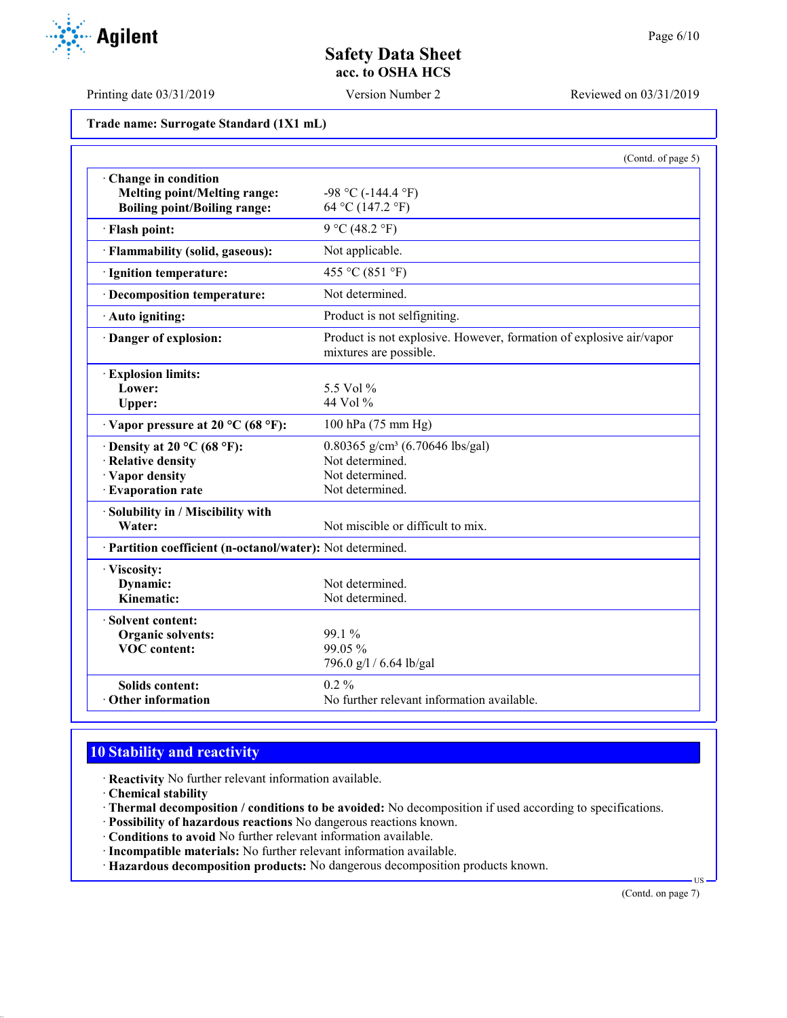**Agilent** 

Printing date 03/31/2019 Version Number 2 Reviewed on 03/31/2019

**Trade name: Surrogate Standard (1X1 mL)**

|                                                                                                   | (Contd. of page 5)                                                                                   |
|---------------------------------------------------------------------------------------------------|------------------------------------------------------------------------------------------------------|
| Change in condition<br><b>Melting point/Melting range:</b><br><b>Boiling point/Boiling range:</b> | $-98$ °C ( $-144.4$ °F)<br>64 °C (147.2 °F)                                                          |
| · Flash point:                                                                                    | 9 °C (48.2 °F)                                                                                       |
| · Flammability (solid, gaseous):                                                                  | Not applicable.                                                                                      |
| · Ignition temperature:                                                                           | 455 °C (851 °F)                                                                                      |
| · Decomposition temperature:                                                                      | Not determined.                                                                                      |
| · Auto igniting:                                                                                  | Product is not selfigniting.                                                                         |
| · Danger of explosion:                                                                            | Product is not explosive. However, formation of explosive air/vapor<br>mixtures are possible.        |
| · Explosion limits:<br>Lower:<br>Upper:                                                           | 5.5 Vol %<br>44 Vol %                                                                                |
| $\cdot$ Vapor pressure at 20 °C (68 °F):                                                          | 100 hPa (75 mm Hg)                                                                                   |
| $\cdot$ Density at 20 °C (68 °F):<br>· Relative density<br>· Vapor density<br>· Evaporation rate  | 0.80365 g/cm <sup>3</sup> (6.70646 lbs/gal)<br>Not determined.<br>Not determined.<br>Not determined. |
| · Solubility in / Miscibility with<br>Water:                                                      | Not miscible or difficult to mix.                                                                    |
| · Partition coefficient (n-octanol/water): Not determined.                                        |                                                                                                      |
| · Viscosity:<br>Dynamic:<br>Kinematic:                                                            | Not determined.<br>Not determined.                                                                   |
| · Solvent content:<br>Organic solvents:<br><b>VOC</b> content:                                    | 99.1 %<br>99.05 %<br>796.0 g/l / 6.64 lb/gal                                                         |
| <b>Solids content:</b><br>Other information                                                       | $0.2\%$<br>No further relevant information available.                                                |

# **10 Stability and reactivity**

- · **Reactivity** No further relevant information available.
- · **Chemical stability**
- · **Thermal decomposition / conditions to be avoided:** No decomposition if used according to specifications.
- · **Possibility of hazardous reactions** No dangerous reactions known.
- · **Conditions to avoid** No further relevant information available.
- · **Incompatible materials:** No further relevant information available.
- · **Hazardous decomposition products:** No dangerous decomposition products known.

(Contd. on page 7)

US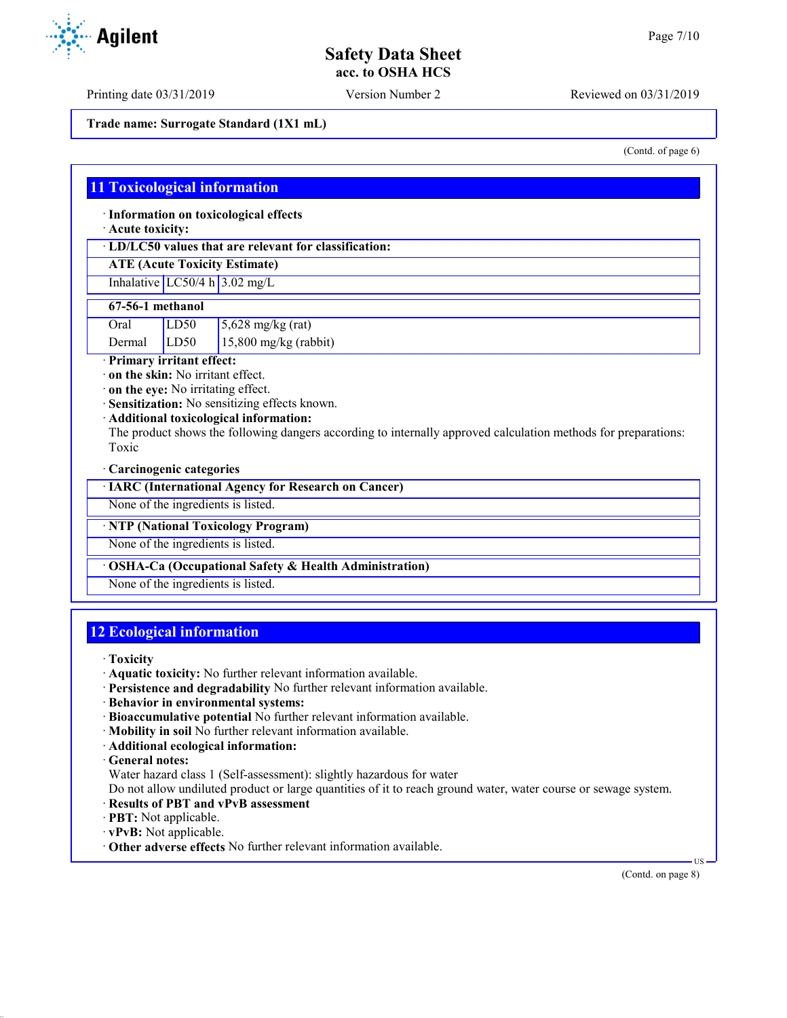Printing date 03/31/2019 Version Number 2 Reviewed on 03/31/2019

**Trade name: Surrogate Standard (1X1 mL)**

**11 Toxicological information**

· **Information on toxicological effects**

· **Acute toxicity:**

· **LD/LC50 values that are relevant for classification:**

**ATE (Acute Toxicity Estimate)**

Inhalative  $LC50/4$  h  $3.02$  mg/L

### **67-56-1 methanol**

| Oral | LD50 | $\frac{5,628}{\text{mg/kg}}$ (rat) |
|------|------|------------------------------------|
|      |      |                                    |

Dermal LD50 15,800 mg/kg (rabbit)

· **Primary irritant effect:**

· **on the skin:** No irritant effect.

· **on the eye:** No irritating effect.

· **Sensitization:** No sensitizing effects known.

· **Additional toxicological information:**

The product shows the following dangers according to internally approved calculation methods for preparations: Toxic

### · **Carcinogenic categories**

| · IARC (International Agency for Research on Cancer) |  |  |  |
|------------------------------------------------------|--|--|--|
|------------------------------------------------------|--|--|--|

None of the ingredients is listed.

· **NTP (National Toxicology Program)**

None of the ingredients is listed.

### · **OSHA-Ca (Occupational Safety & Health Administration)**

None of the ingredients is listed.

## **12 Ecological information**

· **Toxicity**

- · **Aquatic toxicity:** No further relevant information available.
- · **Persistence and degradability** No further relevant information available.
- · **Behavior in environmental systems:**
- · **Bioaccumulative potential** No further relevant information available.
- · **Mobility in soil** No further relevant information available.
- · **Additional ecological information:**

· **General notes:**

Water hazard class 1 (Self-assessment): slightly hazardous for water

Do not allow undiluted product or large quantities of it to reach ground water, water course or sewage system.

- · **Results of PBT and vPvB assessment**
- · **PBT:** Not applicable.
- · **vPvB:** Not applicable.
- · **Other adverse effects** No further relevant information available.

(Contd. on page 8)

US



(Contd. of page 6)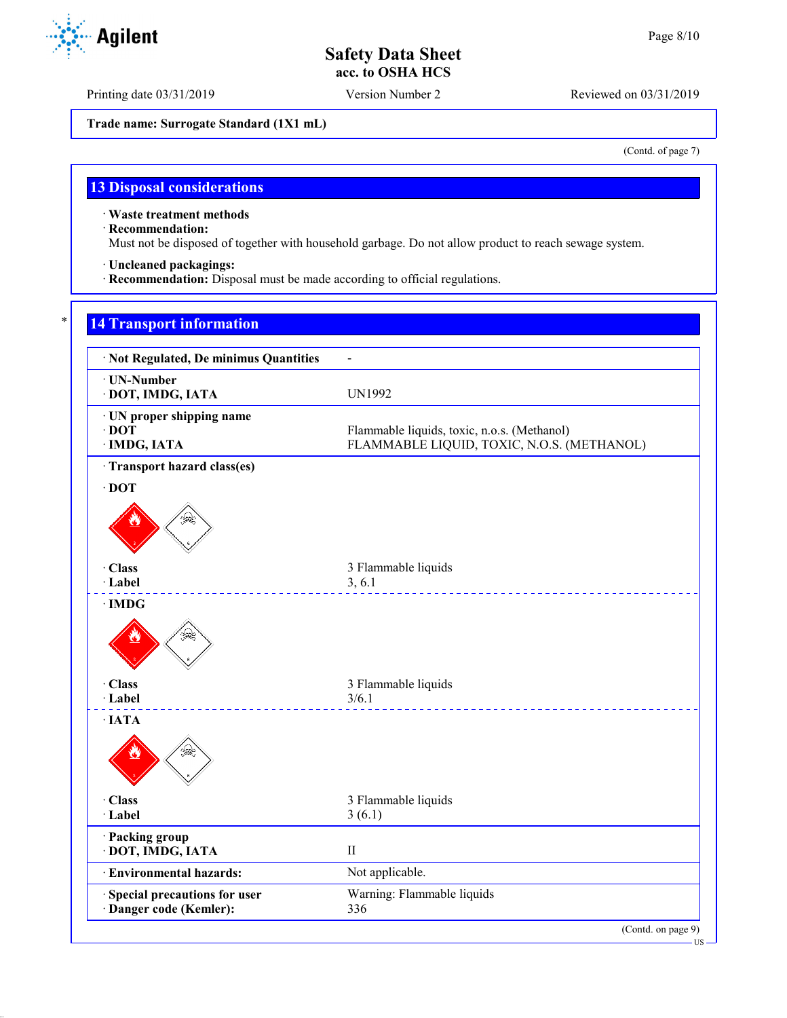Printing date 03/31/2019 Version Number 2 Reviewed on 03/31/2019

**Trade name: Surrogate Standard (1X1 mL)**

(Contd. of page 7)

US

# **13 Disposal considerations**

· **Waste treatment methods**

· **Recommendation:**

Must not be disposed of together with household garbage. Do not allow product to reach sewage system.

· **Uncleaned packagings:**

· **Recommendation:** Disposal must be made according to official regulations.

# \* **14 Transport information**

| · Not Regulated, De minimus Quantities                       |                                                                                           |
|--------------------------------------------------------------|-------------------------------------------------------------------------------------------|
| · UN-Number<br>· DOT, IMDG, IATA                             | <b>UN1992</b>                                                                             |
| · UN proper shipping name<br>$\cdot$ DOT<br>· IMDG, IATA     | Flammable liquids, toxic, n.o.s. (Methanol)<br>FLAMMABLE LIQUID, TOXIC, N.O.S. (METHANOL) |
| · Transport hazard class(es)                                 |                                                                                           |
| $\cdot$ DOT                                                  |                                                                                           |
| دي.<br>چينې                                                  |                                                                                           |
| · Class                                                      | 3 Flammable liquids                                                                       |
| · Label                                                      | 3, 6.1                                                                                    |
| Ձ                                                            |                                                                                           |
| · Class<br>· Label                                           | 3 Flammable liquids<br>3/6.1                                                              |
| $\cdot$ IATA                                                 |                                                                                           |
|                                                              |                                                                                           |
| · Class                                                      | 3 Flammable liquids                                                                       |
| · Label                                                      | 3(6.1)                                                                                    |
| · Packing group<br>· DOT, IMDG, IATA                         | $\rm II$                                                                                  |
| · Environmental hazards:                                     | Not applicable.                                                                           |
| <b>Special precautions for user</b><br>Danger code (Kemler): | Warning: Flammable liquids<br>336                                                         |

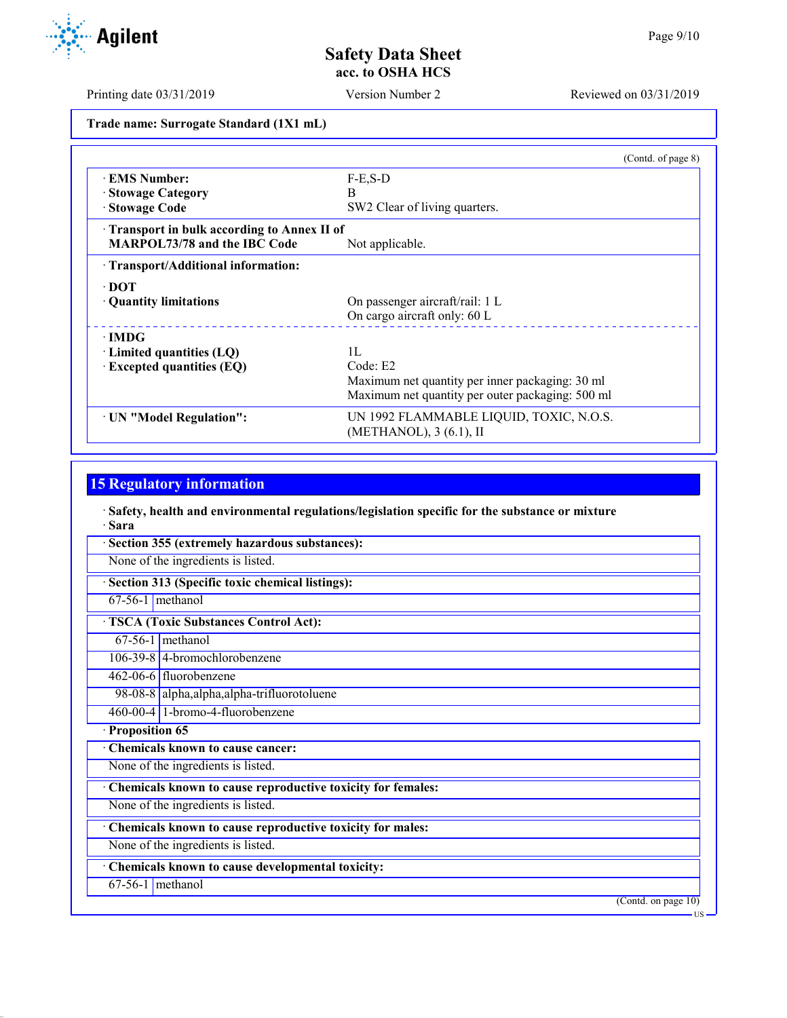Printing date 03/31/2019 Version Number 2 Reviewed on 03/31/2019

**Trade name: Surrogate Standard (1X1 mL)**

|                                            | (Contd. of page 8)                               |
|--------------------------------------------|--------------------------------------------------|
| <b>EMS</b> Number:                         | $F-E$ , $S-D$                                    |
| · Stowage Category                         | B                                                |
| · Stowage Code                             | SW2 Clear of living quarters.                    |
| Transport in bulk according to Annex II of |                                                  |
| <b>MARPOL73/78 and the IBC Code</b>        | Not applicable.                                  |
| · Transport/Additional information:        |                                                  |
| $\cdot$ DOT                                |                                                  |
| · Quantity limitations                     | On passenger aircraft/rail: 1 L                  |
|                                            | On cargo aircraft only: 60 L                     |
| $\cdot$ IMDG                               |                                                  |
| $\cdot$ Limited quantities (LQ)            | 1L                                               |
| $\cdot$ Excepted quantities (EQ)           | Code: E2                                         |
|                                            | Maximum net quantity per inner packaging: 30 ml  |
|                                            | Maximum net quantity per outer packaging: 500 ml |
| · UN "Model Regulation":                   | UN 1992 FLAMMABLE LIQUID, TOXIC, N.O.S.          |
|                                            | (METHANOL), 3 (6.1), II                          |

# **15 Regulatory information**

· **Safety, health and environmental regulations/legislation specific for the substance or mixture** · **Sara**

| Section 355 (extremely hazardous substances):               |                     |
|-------------------------------------------------------------|---------------------|
| None of the ingredients is listed.                          |                     |
| Section 313 (Specific toxic chemical listings):             |                     |
| $67-56-1$ methanol                                          |                     |
| <b>TSCA (Toxic Substances Control Act):</b>                 |                     |
| $67-56-1$ methanol                                          |                     |
| 106-39-8 4-bromochlorobenzene                               |                     |
| 462-06-6 fluorobenzene                                      |                     |
| 98-08-8 alpha, alpha, alpha-trifluorotoluene                |                     |
| 460-00-4 1-bromo-4-fluorobenzene                            |                     |
| · Proposition 65                                            |                     |
| Chemicals known to cause cancer:                            |                     |
| None of the ingredients is listed.                          |                     |
| Chemicals known to cause reproductive toxicity for females: |                     |
| None of the ingredients is listed.                          |                     |
| Chemicals known to cause reproductive toxicity for males:   |                     |
| None of the ingredients is listed.                          |                     |
| Chemicals known to cause developmental toxicity:            |                     |
| $67-56-1$ methanol                                          |                     |
|                                                             | (Contd. on page 10) |